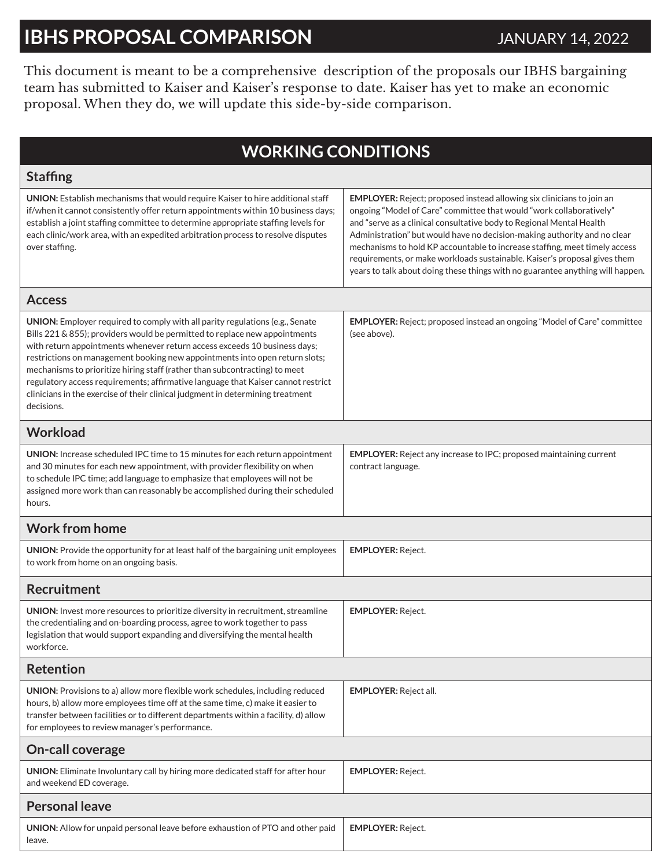## **IBHS PROPOSAL COMPARISON** JANUARY 14, 2022

This document is meant to be a comprehensive description of the proposals our IBHS bargaining team has submitted to Kaiser and Kaiser's response to date. Kaiser has yet to make an economic proposal. When they do, we will update this side-by-side comparison.

## **WORKING CONDITIONS**

| <b>Staffing</b>                                                                                                                                                                                                                                                                                                                                                                                                                                                                                                                                                                          |                                                                                                                                                                                                                                                                                                                                                                                                                                                                                                                                                      |  |
|------------------------------------------------------------------------------------------------------------------------------------------------------------------------------------------------------------------------------------------------------------------------------------------------------------------------------------------------------------------------------------------------------------------------------------------------------------------------------------------------------------------------------------------------------------------------------------------|------------------------------------------------------------------------------------------------------------------------------------------------------------------------------------------------------------------------------------------------------------------------------------------------------------------------------------------------------------------------------------------------------------------------------------------------------------------------------------------------------------------------------------------------------|--|
| UNION: Establish mechanisms that would require Kaiser to hire additional staff<br>if/when it cannot consistently offer return appointments within 10 business days;<br>establish a joint staffing committee to determine appropriate staffing levels for<br>each clinic/work area, with an expedited arbitration process to resolve disputes<br>over staffing.                                                                                                                                                                                                                           | <b>EMPLOYER:</b> Reject; proposed instead allowing six clinicians to join an<br>ongoing "Model of Care" committee that would "work collaboratively"<br>and "serve as a clinical consultative body to Regional Mental Health<br>Administration" but would have no decision-making authority and no clear<br>mechanisms to hold KP accountable to increase staffing, meet timely access<br>requirements, or make workloads sustainable. Kaiser's proposal gives them<br>years to talk about doing these things with no guarantee anything will happen. |  |
| <b>Access</b>                                                                                                                                                                                                                                                                                                                                                                                                                                                                                                                                                                            |                                                                                                                                                                                                                                                                                                                                                                                                                                                                                                                                                      |  |
| UNION: Employer required to comply with all parity regulations (e.g., Senate<br>Bills 221 & 855); providers would be permitted to replace new appointments<br>with return appointments whenever return access exceeds 10 business days;<br>restrictions on management booking new appointments into open return slots;<br>mechanisms to prioritize hiring staff (rather than subcontracting) to meet<br>regulatory access requirements; affirmative language that Kaiser cannot restrict<br>clinicians in the exercise of their clinical judgment in determining treatment<br>decisions. | <b>EMPLOYER:</b> Reject; proposed instead an ongoing "Model of Care" committee<br>(see above).                                                                                                                                                                                                                                                                                                                                                                                                                                                       |  |
| <b>Workload</b>                                                                                                                                                                                                                                                                                                                                                                                                                                                                                                                                                                          |                                                                                                                                                                                                                                                                                                                                                                                                                                                                                                                                                      |  |
| UNION: Increase scheduled IPC time to 15 minutes for each return appointment<br>and 30 minutes for each new appointment, with provider flexibility on when<br>to schedule IPC time; add language to emphasize that employees will not be<br>assigned more work than can reasonably be accomplished during their scheduled<br>hours.                                                                                                                                                                                                                                                      | <b>EMPLOYER:</b> Reject any increase to IPC; proposed maintaining current<br>contract language.                                                                                                                                                                                                                                                                                                                                                                                                                                                      |  |
| <b>Work from home</b>                                                                                                                                                                                                                                                                                                                                                                                                                                                                                                                                                                    |                                                                                                                                                                                                                                                                                                                                                                                                                                                                                                                                                      |  |
| UNION: Provide the opportunity for at least half of the bargaining unit employees<br>to work from home on an ongoing basis.                                                                                                                                                                                                                                                                                                                                                                                                                                                              | <b>EMPLOYER: Reject.</b>                                                                                                                                                                                                                                                                                                                                                                                                                                                                                                                             |  |
| <b>Recruitment</b>                                                                                                                                                                                                                                                                                                                                                                                                                                                                                                                                                                       |                                                                                                                                                                                                                                                                                                                                                                                                                                                                                                                                                      |  |
| UNION: Invest more resources to prioritize diversity in recruitment, streamline<br>the credentialing and on-boarding process, agree to work together to pass<br>legislation that would support expanding and diversifying the mental health<br>workforce.                                                                                                                                                                                                                                                                                                                                | <b>EMPLOYER: Reject.</b>                                                                                                                                                                                                                                                                                                                                                                                                                                                                                                                             |  |
| <b>Retention</b>                                                                                                                                                                                                                                                                                                                                                                                                                                                                                                                                                                         |                                                                                                                                                                                                                                                                                                                                                                                                                                                                                                                                                      |  |
| UNION: Provisions to a) allow more flexible work schedules, including reduced<br>hours, b) allow more employees time off at the same time, c) make it easier to<br>transfer between facilities or to different departments within a facility, d) allow<br>for employees to review manager's performance.                                                                                                                                                                                                                                                                                 | EMPLOYER: Reject all.                                                                                                                                                                                                                                                                                                                                                                                                                                                                                                                                |  |
| On-call coverage                                                                                                                                                                                                                                                                                                                                                                                                                                                                                                                                                                         |                                                                                                                                                                                                                                                                                                                                                                                                                                                                                                                                                      |  |
| UNION: Eliminate Involuntary call by hiring more dedicated staff for after hour<br>and weekend ED coverage.                                                                                                                                                                                                                                                                                                                                                                                                                                                                              | <b>EMPLOYER: Reject.</b>                                                                                                                                                                                                                                                                                                                                                                                                                                                                                                                             |  |
| <b>Personal leave</b>                                                                                                                                                                                                                                                                                                                                                                                                                                                                                                                                                                    |                                                                                                                                                                                                                                                                                                                                                                                                                                                                                                                                                      |  |
| UNION: Allow for unpaid personal leave before exhaustion of PTO and other paid<br>leave.                                                                                                                                                                                                                                                                                                                                                                                                                                                                                                 | <b>EMPLOYER: Reject.</b>                                                                                                                                                                                                                                                                                                                                                                                                                                                                                                                             |  |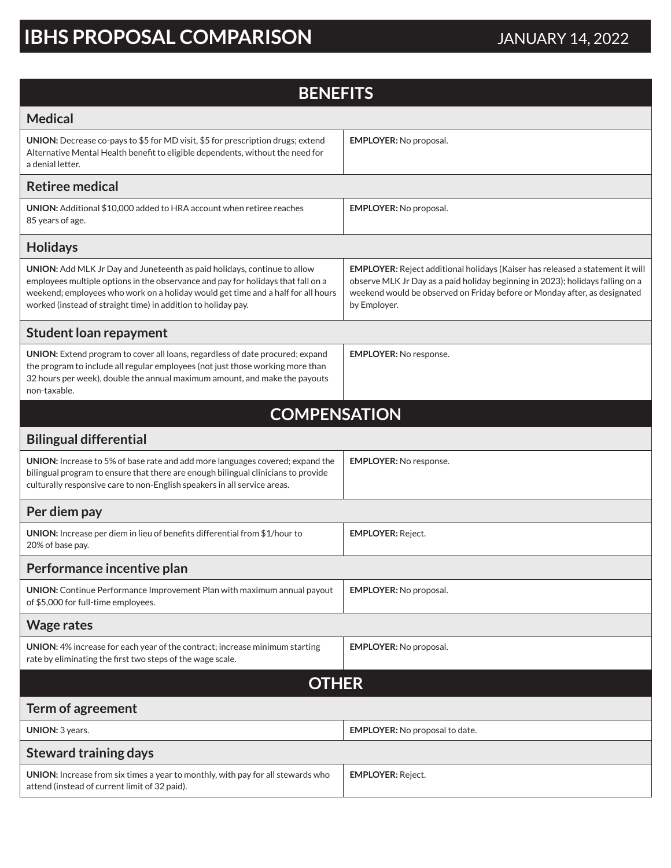## **IBHS PROPOSAL COMPARISON** JANUARY 14, 2022

| <b>BENEFITS</b>                                                                                                                                                                                                                                                                                                   |                                                                                                                                                                                                                                                              |  |
|-------------------------------------------------------------------------------------------------------------------------------------------------------------------------------------------------------------------------------------------------------------------------------------------------------------------|--------------------------------------------------------------------------------------------------------------------------------------------------------------------------------------------------------------------------------------------------------------|--|
| <b>Medical</b>                                                                                                                                                                                                                                                                                                    |                                                                                                                                                                                                                                                              |  |
| UNION: Decrease co-pays to \$5 for MD visit, \$5 for prescription drugs; extend<br>Alternative Mental Health benefit to eligible dependents, without the need for<br>a denial letter.                                                                                                                             | <b>EMPLOYER: No proposal.</b>                                                                                                                                                                                                                                |  |
| <b>Retiree medical</b>                                                                                                                                                                                                                                                                                            |                                                                                                                                                                                                                                                              |  |
| <b>UNION:</b> Additional \$10,000 added to HRA account when retiree reaches<br>85 years of age.                                                                                                                                                                                                                   | <b>EMPLOYER: No proposal.</b>                                                                                                                                                                                                                                |  |
| <b>Holidays</b>                                                                                                                                                                                                                                                                                                   |                                                                                                                                                                                                                                                              |  |
| UNION: Add MLK Jr Day and Juneteenth as paid holidays, continue to allow<br>employees multiple options in the observance and pay for holidays that fall on a<br>weekend; employees who work on a holiday would get time and a half for all hours<br>worked (instead of straight time) in addition to holiday pay. | EMPLOYER: Reject additional holidays (Kaiser has released a statement it will<br>observe MLK Jr Day as a paid holiday beginning in 2023); holidays falling on a<br>weekend would be observed on Friday before or Monday after, as designated<br>by Employer. |  |
| <b>Student loan repayment</b>                                                                                                                                                                                                                                                                                     |                                                                                                                                                                                                                                                              |  |
| UNION: Extend program to cover all loans, regardless of date procured; expand<br>the program to include all regular employees (not just those working more than<br>32 hours per week), double the annual maximum amount, and make the payouts<br>non-taxable.                                                     | <b>EMPLOYER: No response.</b>                                                                                                                                                                                                                                |  |
| <b>COMPENSATION</b>                                                                                                                                                                                                                                                                                               |                                                                                                                                                                                                                                                              |  |
| <b>Bilingual differential</b>                                                                                                                                                                                                                                                                                     |                                                                                                                                                                                                                                                              |  |
| UNION: Increase to 5% of base rate and add more languages covered; expand the<br>bilingual program to ensure that there are enough bilingual clinicians to provide<br>culturally responsive care to non-English speakers in all service areas.                                                                    | <b>EMPLOYER: No response.</b>                                                                                                                                                                                                                                |  |
| Per diem pay                                                                                                                                                                                                                                                                                                      |                                                                                                                                                                                                                                                              |  |
| UNION: Increase per diem in lieu of benefits differential from \$1/hour to<br>20% of base pay.                                                                                                                                                                                                                    | <b>EMPLOYER: Reject.</b>                                                                                                                                                                                                                                     |  |
| Performance incentive plan                                                                                                                                                                                                                                                                                        |                                                                                                                                                                                                                                                              |  |
| <b>UNION:</b> Continue Performance Improvement Plan with maximum annual payout<br>of \$5,000 for full-time employees.                                                                                                                                                                                             | <b>EMPLOYER: No proposal.</b>                                                                                                                                                                                                                                |  |
| <b>Wage rates</b>                                                                                                                                                                                                                                                                                                 |                                                                                                                                                                                                                                                              |  |
| UNION: 4% increase for each year of the contract; increase minimum starting<br>rate by eliminating the first two steps of the wage scale.                                                                                                                                                                         | <b>EMPLOYER: No proposal.</b>                                                                                                                                                                                                                                |  |
| <b>OTHER</b>                                                                                                                                                                                                                                                                                                      |                                                                                                                                                                                                                                                              |  |
| Term of agreement                                                                                                                                                                                                                                                                                                 |                                                                                                                                                                                                                                                              |  |
| UNION: 3 years.                                                                                                                                                                                                                                                                                                   | <b>EMPLOYER:</b> No proposal to date.                                                                                                                                                                                                                        |  |
| <b>Steward training days</b>                                                                                                                                                                                                                                                                                      |                                                                                                                                                                                                                                                              |  |
| UNION: Increase from six times a year to monthly, with pay for all stewards who<br>attend (instead of current limit of 32 paid).                                                                                                                                                                                  | <b>EMPLOYER: Reject.</b>                                                                                                                                                                                                                                     |  |